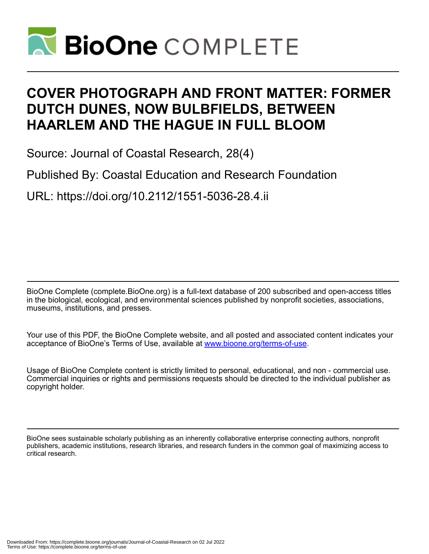

# **COVER PHOTOGRAPH AND FRONT MATTER: FORMER DUTCH DUNES, NOW BULBFIELDS, BETWEEN HAARLEM AND THE HAGUE IN FULL BLOOM**

Source: Journal of Coastal Research, 28(4)

Published By: Coastal Education and Research Foundation

URL: https://doi.org/10.2112/1551-5036-28.4.ii

BioOne Complete (complete.BioOne.org) is a full-text database of 200 subscribed and open-access titles in the biological, ecological, and environmental sciences published by nonprofit societies, associations, museums, institutions, and presses.

Your use of this PDF, the BioOne Complete website, and all posted and associated content indicates your acceptance of BioOne's Terms of Use, available at www.bioone.org/terms-of-use.

Usage of BioOne Complete content is strictly limited to personal, educational, and non - commercial use. Commercial inquiries or rights and permissions requests should be directed to the individual publisher as copyright holder.

BioOne sees sustainable scholarly publishing as an inherently collaborative enterprise connecting authors, nonprofit publishers, academic institutions, research libraries, and research funders in the common goal of maximizing access to critical research.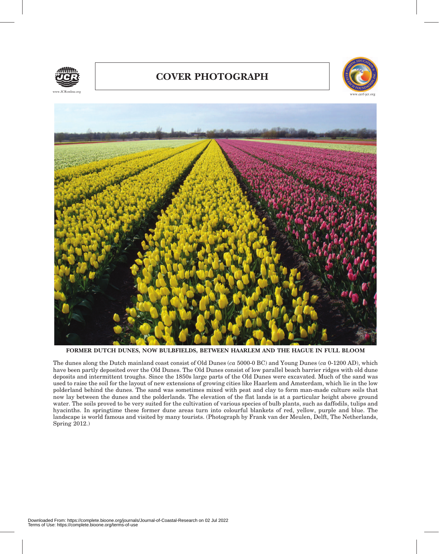

# COVER PHOTOGRAPH



FORMER DUTCH DUNES, NOW BULBFIELDS, BETWEEN HAARLEM AND THE HAGUE IN FULL BLOOM

The dunes along the Dutch mainland coast consist of Old Dunes (ca 5000-0 BC) and Young Dunes (ca 0-1200 AD), which have been partly deposited over the Old Dunes. The Old Dunes consist of low parallel beach barrier ridges with old dune deposits and intermittent troughs. Since the 1850s large parts of the Old Dunes were excavated. Much of the sand was used to raise the soil for the layout of new extensions of growing cities like Haarlem and Amsterdam, which lie in the low polderland behind the dunes. The sand was sometimes mixed with peat and clay to form man-made culture soils that now lay between the dunes and the polderlands. The elevation of the flat lands is at a particular height above ground water. The soils proved to be very suited for the cultivation of various species of bulb plants, such as daffodils, tulips and hyacinths. In springtime these former dune areas turn into colourful blankets of red, yellow, purple and blue. The landscape is world famous and visited by many tourists. (Photograph by Frank van der Meulen, Delft, The Netherlands, Spring 2012.)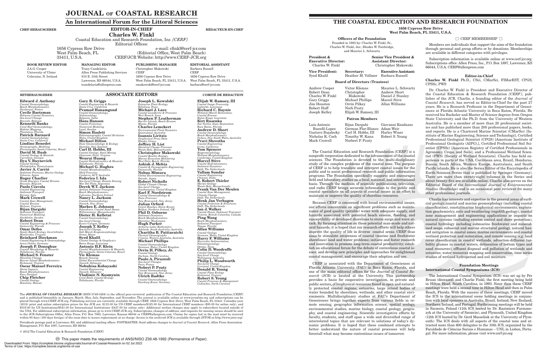# **JOURNAL OF COASTAL RESEARCH**

## **An International Forum for the Littoral Sciences**

# **CHEF-HERAUSGEBER EDITOR-IN-CHIEF RÉDACTEUR-EN-CHEF Charles W. Finkl**

Coastal Education and Research Foundation, Inc. *[CERF]* Editorial Offices:

1656 Cypress Row Drive e-mail: cfinkl@cerf-jcr.com<br>West Palm Beach, FL (Editorial Office, West Palm Beach) West Palm Beach, FL (Editorial Office, West Palm Beach)<br>33411. U.S.A. CERF/JCR Website: http://www.CERF-JCR.org 33411, U.S.A. CERF/JCR Website: http://www.CERF-JCR.org

### **BOOK REVIEW EDITOR**

J.A.G. Cooper University of Ulster Coleraine, N. Ireland **MANAGING EDITOR** Tracy Candelaria Allen Press Publishing Services 810 E. 10th Street Lawrence, KS 66044, U.S.A. tcandelaria@allenpress.com

**PUBLISHING MANAGER** Christopher Makowski CERF 1656 Cypress Row Drive West Palm Beach, FL 33411, U.S.A. cmakowski@cerf-jcr.com

**EDITORIAL ASSISTANT** Barbara Russell CERF 1656 Cypress Row Drive West Palm Beach, FL 33411, U.S.A. barbara@cerf-jcr.com

### **MITHERAUSGEBER ASSOCIATE EDITORS COMITÉ DE REDACTION**

**Edward J. Anthony** *Coastal Geomorphology, Beach Morphodynamics Dunkerque, France* **Cecile Baeteman** *Holocene Coastal Dynamics, Sea-Level Change Brussels, Belgium* **Kenneth Banks** *Coral Reef Geomorphology, Habitat Mapping Plantation, Florida* **Patrick Barnard** *Coastal Geomorphology Santa Cruz, California* **Lindino Benedet** *Oceanography, Modeling Florianopolis, Santa Catarina, Brazil* **David M. Bush** *Coastal Geology & Hazards Carrollton, Georgia* **Ilya V. Buynevich** *Coastal Geology Philadelphia, Pennsylvania* **Javier A. Carrió** *Sediment Processes, Marine Geology Valencia, Spain* **Roger Charlier** *Ocean Energies, Coastal Erosion Brussels, Belgium* **Paolo Ciavola** *Coastal Engineering, Sediment Transport Ferrara, Italy* **Mark Crowell** *Coastal Zone Management, Coastal Erosion McLean, Virginia* **Bijan Dargahi** *Sediment Transport, Numerical Modeling Stockholm, Sweden* **Robert Dean** *Coastal Engineering & Processes Gainesville, Florida* **Omar Defeo** *Sandy Beach Ecology, Invertebrates Montevideo, Uruguay* **Reinhard Dieckman** *Coastal Engineering & Geomorphology Arnis/Schlei, Germany* **Joseph F. Donoghue** *Coastal Morphology & Hazards Tallahassee, Florida* **Michael S. Fenster** *Shoreline Change, Barrier Island Morphodynamics Richmond, Virginia* **Oscar Manuel Ferreira** *Storm Impacts, Beach Morphodynamics Faro, Portugal* **Chip Fletcher** *Coastal Geology Honolulu, Hawaii*

**Gary B. Griggs** *Coastal Engineering & Hazards Santa Cruz, California* **Pramod Hanamgond** *Coastal Geomorphology, Sedimentology Belgaum, India* **Hans Hanson** *Coastal Protection, Numerical Modeling Lund, Sweden* **Simon Haslett** *Paleoceanography, Coastal Evolution Wales, United Kingdom* **Michael Hilton** *Dune Geomorphology & Ecology Dunedin, New Zealand* **Carl H. Hobbs, III** *Coastal Geology, Sand Mining Gloucester Point, Virginia* **Wenrui Huang** *Coastal Hydrodynamics & Hazards Tallahassee, Florida* **Michael G. Hughes** *Coastal Morphodynamics, Shelf Processes Canberra, ACT, Australia* **Federico I. Isla** *Sea-Level Change, Remote Sensing Mar Del Plata, Argentina* **Derek W.T. Jackson** *Aeolian Sediment Transport, Beach Morphodynamics Coleraine, Northern Ireland* **Nancy L. Jackson** *Coastal Geomorphology Newark, New Jersey* **Markes E. Johnson** *Paleoshores, Coastal Sand Dunes Williamstown, Massachusetts* **Dieter H. Kelletat** *Coastal Geomorphology, Sea-Level Change Essen/Cologne, Germany* **Joseph T. Kelley** *Sea-Level Change, Salt Marsh Ecogeomorphology Orono, Maine* **Syed Khalil** *Coastal Geology & Geophysics Baton Rouge, Louisiana* **Antonio H.F. Klein** *Coastal Morphodynamics & Hazards Florianópolis, Santa Catarina, Brazil* **Vic Klemas** *Remote Sensing, Global Environmental Change Newark, Delaware* **Nobuhisa Kobayashi** *Coastal Engineering Newark, Delaware* **Vladimir N. Kosmynin** *Coral Reefs, Coastal Ecology Tallahassee, Florida*

**Joseph L. Kowalski** *Estuarine Plant Ecology Edinburg, Texas* **Michael J. Lace** *Coastal Landforms & Processes West Branch, Iowa* **Stephen P. Leatherman** *Barrier Islands, Beach Erosion Miami, Florida* **Charles Lemckert** *Environmental Fluid Dynamics Queensland, Australia* **Ioannis Liritzis** *Geophysical Proxy Data Rhodes, Greece* **Jeffrey H. List** *Shoreline Change Processes Woods Hole, Massachusetts* **Christopher Makowski** *Coastal Benthic Ecology, Marine Ecosystem Monitoring West Palm Beach, Florida* **Ashish J. Mehta** *Coastal & Ocenographic Engineering Gainesville, Florida* **Nobuo Mimura** *Global Environmental Engineering Ibaraki, Japan* **Robert Nicholls** *Global Climate Change, Sea-Level Change Southampton, United Kingdom* **Karl F. Nordstrom** *Coastal Geomorphology & Dune Processes New Brunswick, New Jersey* **Julian Orford** *Gravel Beaches, Storm Events Belfast, Northern Ireland, UK* **Phil D. Osborne** *Sediment Dynamics, Beach Morphodynamics Shoreline, Washington*  **Hugh Parker** *Airborne Lidar Bathymetry Adelaide, South Australia, Australia* **Charitha B. Pattiaratchi** *Physical Oceanography Crawley, Western Australia, Australia* **Michael Phillips** *Coastal Geomorphology Swansea, Wales, United Kingdom* **Orrin H. Pilkey, Jr.** *Coastal Geology Durham, North Carolina* **Paolo A. Pirazzoli** *Sea-Level Changes Paris, France* **Nobert P. Psuty** *Coastal Geomorphology New Brunswick, New Jersey* **Ulrich Radtke** *Coastal Geomorphology Duisburg-Essen, Germany* 

**Elijah W. Ramsey, III** *Coastal Image Processing Lafayette, Louisiana* **Richard C. Raynie** *Wetland/Marsh Resto Coastal Erosion Baton Rouge, Louisiana* **Kirt Rusenko** *Sea Turtles, Dune Restoration Boca Raton, Florida* **Andrew D. Short** *Coastal Geomorphology, Beach Morphodynamics Sydney, New South Wales, Australia* **Pravi Shrestha** *Coastal Engineering Irvine, California* **Tom Spencer** *Biogeomorphology, Wetland Morphodynamics Cambridge, United Kingdom* **Marcel Stive** *Coastal Hydrodynamics, Sediment Dynamics Delft, The Netherlands* **Vallam Sundar** *Coastal Engineering Chennai, India* **E. Robert Thieler** *Marine Geology Woods Hole, Massachusetts* **Frank Van Der Meulen** *Coastal Zone Management, Climate Change Delft, The Netherlands* **Henk Jan Verhagen** *Coastal Protection & Structures Delft, The Netherlands* **Ian J. Walker** *Coastal Dunes, Sediment Transport Victoria, British Columbia, Canada* **Ping Wang** *Beach Morphodynamics, Sediment Transport Tampa, Florida* **Allan Williams** *Coastal Geology Swansea, Wales, United Kingdom* **Harry F. Williams** *Hurricane Sedimentation, Paleotempestology Denton, Texas* **Colin D. Woodroffe** *Coastal Geomorphology, Sea-Level Change Wollongong, Australia* **Philip L. Woodworth** *Sea-Level Change Liverpool, United Kingdom* **Donald R. Young** *Coastal Plant Ecology Richmond, Virginia* **Robert S. Young** *Coastal Processes & Management Cullowhee, North Carolina*

The *JOURNAL OF COASTAL RESEARCH* (ISSN 0749-0208) is the official peer-reviewed publication of The Coastal Education and Research Foundation *[CERF]* and is published bimonthly in January, March, May, July, September, and November. The journal is available online at www.jcronline.org and subscriptions can be<br>placed through www.CERF-JCR.org. Publishing services are curre (2012) print and online subscription prices for the JCR are: \$115.00 for US CERF members/\$125.00 for International CERF members (\$95.00 for online only), and \$519.00 for US Institutions/\$541.00 for International Institutions (\$437.00 for online only). Additional surface charges may apply to subscribers located outside of the USA. For additional subscription information, please go to www.CERF-JCR.org. Subscriptions, changes of address, and requests for missing issues should be sent to the JCR Subscriptions Office, Allen Press, P.O. Box 7065, Lawrence, Kansas 66044 or CERF@allenpress.com. Claims for copies lost in the mail must be received within 90 days (180 days foreign) of the issue date to insure replacement at no charge. Access to the archived JCR is available through JSTOR at http://www.jstor.org/.

Periodicals postage paid at Lawrence, KS, and additional mailing offices. POSTMASTER: Send address changes to *Journal of Coastal Research*, Allen Press Association Management, P.O. Box 1897, Lawrence, KS 66044.

 $©$  2012 The Coastal Education & Research Foundation *[CERF]*.

a This paper meets the requirements of ANSI/NISO Z39.48-1992 (Permanence of Paper). Downloaded From: https://complete.bioone.org/journals/Journal-of-Coastal-Research on 02 Jul 2022 Terms of Use: https://complete.bioone.org/terms-of-use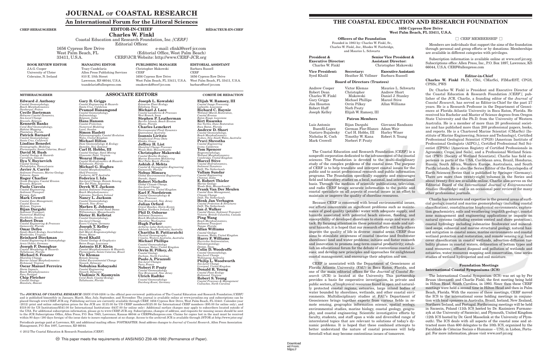# **THE COASTAL EDUCATION AND RESEARCH FOUNDATION**

**1656 Cypress Row Drive**

**West Palm Beach, FL 33411, U.S.A.**

**Officers of the Foundation**

Founded in 1983 by: Charles W. Finkl, Sr., Charles W. Finkl, Jnr., Rhodes W. Fairbridge, and Maurice L. Schwartz

| President &<br><b>Executive Director:</b><br>Charles W. Finkl |  | <b>Senior Vice President &amp;</b><br><b>Assistant Director:</b><br>Christopher Makowski |  |
|---------------------------------------------------------------|--|------------------------------------------------------------------------------------------|--|
|                                                               |  |                                                                                          |  |

**Vice President:**  Syed Khalil

Heather M. Vollmer **Executive Assistant:** Barbara Russell

### **Board of Directors (Trustees)**

| Andrew Cooper    | Victor Klemas         | Maurice L. Schwartz |
|------------------|-----------------------|---------------------|
| Robert Dean      | Christopher           | Andrew Short        |
| Charles W. Finkl | Makowski              | Daniel J. Stanley   |
| Gary Griggs      | Michael Phillips      | Marcel Stive        |
| Jim Houston      | Orrin Pilkey          | Allan Williams      |
| Robert Huff      | Norb Psuty            |                     |
| Joseph Kelley    | Elijah W. Ramsey, III |                     |
|                  |                       |                     |

#### **Patron Members**

| Luis Antonio<br>Buenfil-Lopez    | Bijan Dargahi<br>German Flor-Blanco Adam Weir | Giovanni Randazzo |
|----------------------------------|-----------------------------------------------|-------------------|
| Gustavo Bujalesky                | Carl H. Hobbs, III                            | Harley Winer      |
| Nicholas K. Coch<br>Mark Crowell | Timothy W. Kana<br>Norbert P. Psuty           | Robert S. Young   |

The Coastal Education and Research Foundation *[CERF]* is a nonprofit corporation dedicated to the advancement of the coastal sciences. The Foundation is devoted to the multi-disciplinary study of the complex problems of the coastal zone. The purpose of CERF is to help translate and interpret coastal issues for the public and to assist professional research and public information programs. The Foundation specifically supports and encourages field and laboratory studies on a local, national, and international basis. Through the medium of scientific publications, television, and radio CERF brings accurate information to the public and coastal specialists on all aspects of coastal issues in an effort to maintain or improve the quality of shoreline resources.

Because CERF is concerned with broad environmental issues, our efforts concentrate on significant problems such as maintenance of good quality (potable) water with adequate supply, and hazards associated with potential beach erosion, flooding, and susceptibility of developed shorelines to storm surge and wave attack. By focusing attention on these potential man-made and natural hazards, it is hoped that our research efforts will help others improve the quality of life in diverse coastal areas. CERF thus aims to stimulate awareness of coastal (marine and freshwater shorelines) land and water problems; initiate and foster research and innovation to promote long-term coastal productivity; establish an educational forum for the debate of contentious coastal issues; and develop new principles and approaches for enlightened coastal management, and encourage their adoption and use.

CERF is associated with the Department of Geosciences at Florida Atlantic University (FAU) in Boca Raton, Florida, and one of the main editorial offices for the *Journal of Coastal Research* (JCR) is located at the University. This partnership provides a basis for cooperative investigation, in private and public sectors, of biophysical resources found in open and naturally protected coastal regions, estuaries, large inland bodies of water bounded by shorelines, wetlands, and other coastal environments. Multidisciplinary studies at FAU's Department of Geosciences brings together experts from various fields in remote sensing, geographic information science, spatial ecology, environmental studies, marine biology, coastal geology, geography, and coastal engineering. Scientific investigative efforts by faculty, students, and staff span a wide and diversified range of interrelated topics that are relevant to solutions of today's dynamic problems. It is hoped that these combined attempts to better understand the nature of coastal processes will help forestall what may become contentious issues of tomorrow.

### $\Box$  CERF MEMBERSHIP  $\Box$

Members are individuals that support the aims of the foundation through personal and group efforts or by donations. Memberships are available in different categories with privileges.

Subscription information is available online at www.cerf-jcr.org. Subscriptions office: Allen Press, Inc., P.O. Box 1897, Lawrence, KS 66044, U.S.A. CERF@allenpress.com

#### **Editor-in-Chief**

**Charles W. Finkl** Ph.D., CSci, CMarSci, FIMarEST, CPGS, CPSSc, PWS

Dr. Charles W. Finkl is President and Executive Director of the Coastal Education & Research Foundation *[CERF ]*, publisher of the JCR. Charlie, a founding editor of the *Journal of Coastal Research*, has served as Editor-in-Chief for the past 27 years. He is a Research Professor in the Department of Geosciences at Florida Atlantic University in Boca Raton, Florida. He received his Bachelor and Master of Science degrees from Oregon State University and the Ph.D. from the University of Western Australia. He is a member of more than 20 professional societies and has published more than 200 professional papers, books, and reports. He is a Chartered Marine Scientist (CMarSci) [Institute of Marine Engineering, Science and Technology], Certified Professional Geological Scientist (CPGS) [American Institute of Professional Geologists (AIPG),], Certified Professional Soil Scientist (CPSSc) [American Registry of Certified Professionals in Agronomy, Crops, and Soils], and a Professional Wetland Scientist (PWS) [Society of Wetland Scientists]. Charlie has field experience in parts of the USA, Caribbean area, Brazil, Honduras, Russia, South Africa, Western Europe, Australasia, and South Pacific islands. He is also the Series Editor of the Encyclopedia of Earth Sciences Series that is published by Springer (Germany). There are more than twenty-eight volumes in the Series and about twenty-five are available online. Charlie also serves on the Editorial Board of the *International Journal of Environmental Studies* (Routledge) and is an occasional peer reviewer for many other professional journals.

Charlie has interests and expertise in the general areas of surficial geology, coastal and marine geomorphology (including coastal classification), coastal/marine biophysical environments, exploration geochemistry, soils and weathering (regolith geology), coastal zone management and engineering applications or impacts on natural systems (including erosion control and shore protection), coastal hydrology including submarine freshwater and mineralized seeps, subaerial and marine structural geology, natural hazard mitigation in coastal zones, marine environments and coastal wetland protection and restoration, and remote sensing (*e.g.* land cover classification in coastal wetlands, advection-diffusion turbidity plumes in coastal waters, delineation of bottom types and sand resources), effluent disposal and pollution of wetlands and estuaries, water resources mapping and conservation, time series studies of wetland hydroperiod and soil moisture.

#### **Foundation Meetings International Coastal Symposiums (ICS)**

The International Coastal Symposium (ICS) was set up by Per Bruun (deceased) and Charlie Finkl, the first meeting being held in Hilton Head, South Carolina, in 1993. Since then these CERF meetings were held a second time in Hilton Head and then in Palm Beach, Florida. With the success of these meetings, CERF moved the ICS to the international scene holding meetings in conjunction with local sponsors in Australia, Brazil, Iceland, New Zealand, Northern Ireland, and Portugal. Forthcoming meetings will be held in Szczecin, Poland (11th ICS hosted by Dr. Kazimierz Furmanczyk at the University of Szczecin), and Plymouth, United Kingdom (12th ICS hosted by Dr. Gerd Masselink at the University of Plymouth). The ICS deals with all aspects of the coastal zone and attracted more than 600 delegates to the 10th ICS, organized by the Faculdade de Ciências Sociais e Humanas – UNL in Lisbon, Portugal. For more information, please visit www.cerf-jcr.org